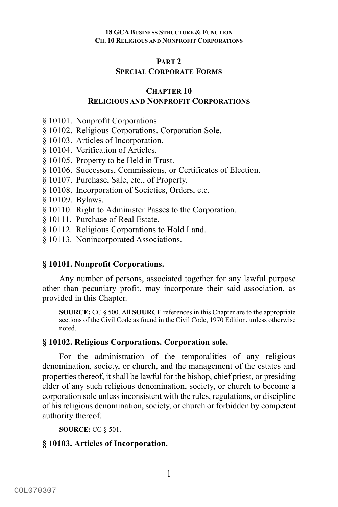### **PART 2**

# **SPECIAL CORPORATE FORMS**

# **CHAPTER 10 RELIGIOUS AND NONPROFIT CORPORATIONS**

- § 10101. Nonprofit Corporations.
- § 10102. Religious Corporations. Corporation Sole.
- § 10103. Articles of Incorporation.
- § 10104. Verification of Articles.
- § 10105. Property to be Held in Trust.
- § 10106. Successors, Commissions, or Certificates of Election.
- § 10107. Purchase, Sale, etc., of Property.
- § 10108. Incorporation of Societies, Orders, etc.
- § 10109. Bylaws.
- § 10110. Right to Administer Passes to the Corporation.
- § 10111. Purchase of Real Estate.
- § 10112. Religious Corporations to Hold Land.
- § 10113. Nonincorporated Associations.

# **§ 10101. Nonprofit Corporations.**

Any number of persons, associated together for any lawful purpose other than pecuniary profit, may incorporate their said association, as provided in this Chapter.

**SOURCE:** CC § 500. All **SOURCE** references in this Chapter are to the appropriate sections of the Civil Code as found in the Civil Code, 1970 Edition, unless otherwise noted.

# **§ 10102. Religious Corporations. Corporation sole.**

For the administration of the temporalities of any religious denomination, society, or church, and the management of the estates and properties thereof, it shall be lawful for the bishop, chief priest, or presiding elder of any such religious denomination, society, or church to become a corporation sole unless inconsistent with the rules, regulations, or discipline of his religious denomination, society, or church or forbidden by competent authority thereof.

**SOURCE: CC § 501.** 

# **§ 10103. Articles of Incorporation.**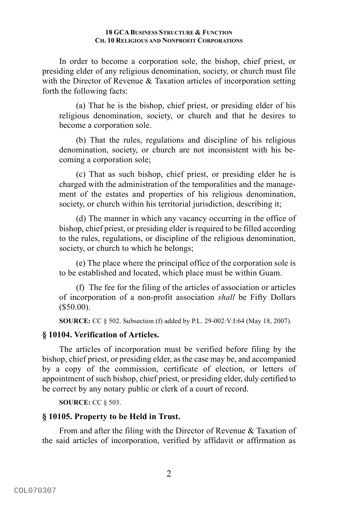In order to become a corporation sole, the bishop, chief priest, or presiding elder of any religious denomination, society, or church must file with the Director of Revenue & Taxation articles of incorporation setting forth the following facts:

(a) That he is the bishop, chief priest, or presiding elder of his religious denomination, society, or church and that he desires to become a corporation sole.

(b) That the rules, regulations and discipline of his religious denomination, society, or church are not inconsistent with his becoming a corporation sole;

(c) That as such bishop, chief priest, or presiding elder he is charged with the administration of the temporalities and the management of the estates and properties of his religious denomination, society, or church within his territorial jurisdiction, describing it;

(d) The manner in which any vacancy occurring in the office of bishop, chief priest, or presiding elder is required to be filled according to the rules, regulations, or discipline of the religious denomination, society, or church to which he belongs;

(e) The place where the principal office of the corporation sole is to be established and located, which place must be within Guam.

(f) The fee for the filing of the articles of association or articles of incorporation of a non-profit association *shall* be Fifty Dollars  $($50.00).$ 

**SOURCE:** CC § 502. Subsection (f) added by P.L. 29-002:V:I:64 (May 18, 2007).

### **§ 10104. Verification of Articles.**

The articles of incorporation must be verified before filing by the bishop, chief priest, or presiding elder, as the case may be, and accompanied by a copy of the commission, certificate of election, or letters of appointment of such bishop, chief priest, or presiding elder, duly certified to be correct by any notary public or clerk of a court of record.

**SOURCE:** CC § 503.

### **§ 10105. Property to be Held in Trust.**

From and after the filing with the Director of Revenue & Taxation of the said articles of incorporation, verified by affidavit or affirmation as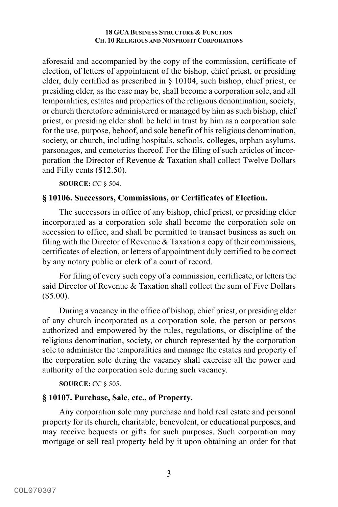aforesaid and accompanied by the copy of the commission, certificate of election, of letters of appointment of the bishop, chief priest, or presiding elder, duly certified as prescribed in § 10104, such bishop, chief priest, or presiding elder, as the case may be, shall become a corporation sole, and all temporalities, estates and properties of the religious denomination, society, or church theretofore administered or managed by him as such bishop, chief priest, or presiding elder shall be held in trust by him as a corporation sole for the use, purpose, behoof, and sole benefit of his religious denomination, society, or church, including hospitals, schools, colleges, orphan asylums, parsonages, and cemeteries thereof. For the filing of such articles of incorporation the Director of Revenue & Taxation shall collect Twelve Dollars and Fifty cents (\$12.50).

**SOURCE:** CC § 504.

## **§ 10106. Successors, Commissions, or Certificates of Election.**

The successors in office of any bishop, chief priest, or presiding elder incorporated as a corporation sole shall become the corporation sole on accession to office, and shall be permitted to transact business as such on filing with the Director of Revenue  $&$  Taxation a copy of their commissions, certificates of election, or letters of appointment duly certified to be correct by any notary public or clerk of a court of record.

For filing of every such copy of a commission, certificate, or letters the said Director of Revenue & Taxation shall collect the sum of Five Dollars  $($5.00).$ 

During a vacancy in the office of bishop, chief priest, or presiding elder of any church incorporated as a corporation sole, the person or persons authorized and empowered by the rules, regulations, or discipline of the religious denomination, society, or church represented by the corporation sole to administer the temporalities and manage the estates and property of the corporation sole during the vacancy shall exercise all the power and authority of the corporation sole during such vacancy.

**SOURCE:** CC § 505.

# **§ 10107. Purchase, Sale, etc., of Property.**

Any corporation sole may purchase and hold real estate and personal property for its church, charitable, benevolent, or educational purposes, and may receive bequests or gifts for such purposes. Such corporation may mortgage or sell real property held by it upon obtaining an order for that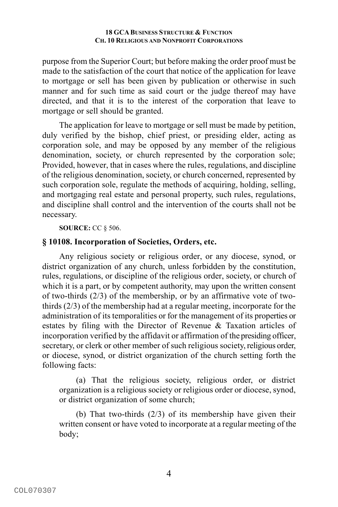purpose from the Superior Court; but before making the order proof must be made to the satisfaction of the court that notice of the application for leave to mortgage or sell has been given by publication or otherwise in such manner and for such time as said court or the judge thereof may have directed, and that it is to the interest of the corporation that leave to mortgage or sell should be granted.

The application for leave to mortgage or sell must be made by petition, duly verified by the bishop, chief priest, or presiding elder, acting as corporation sole, and may be opposed by any member of the religious denomination, society, or church represented by the corporation sole; Provided, however, that in cases where the rules, regulations, and discipline of the religious denomination, society, or church concerned, represented by such corporation sole, regulate the methods of acquiring, holding, selling, and mortgaging real estate and personal property, such rules, regulations, and discipline shall control and the intervention of the courts shall not be necessary.

**SOURCE:** CC § 506.

## **§ 10108. Incorporation of Societies, Orders, etc.**

Any religious society or religious order, or any diocese, synod, or district organization of any church, unless forbidden by the constitution, rules, regulations, or discipline of the religious order, society, or church of which it is a part, or by competent authority, may upon the written consent of two-thirds (2/3) of the membership, or by an affirmative vote of twothirds (2/3) of the membership had at a regular meeting, incorporate for the administration of its temporalities or for the management of its properties or estates by filing with the Director of Revenue & Taxation articles of incorporation verified by the affidavit or affirmation of the presiding officer, secretary, or clerk or other member of such religious society, religious order, or diocese, synod, or district organization of the church setting forth the following facts:

(a) That the religious society, religious order, or district organization is a religious society or religious order or diocese, synod, or district organization of some church;

(b) That two-thirds (2/3) of its membership have given their written consent or have voted to incorporate at a regular meeting of the body;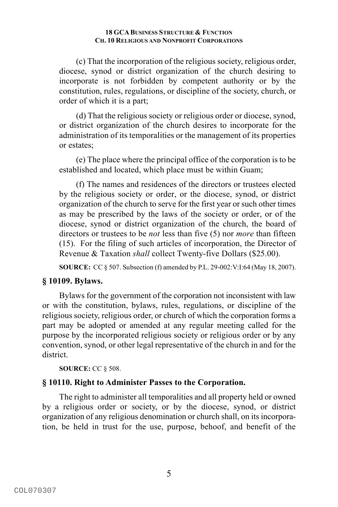(c) That the incorporation of the religious society, religious order, diocese, synod or district organization of the church desiring to incorporate is not forbidden by competent authority or by the constitution, rules, regulations, or discipline of the society, church, or order of which it is a part;

(d) That the religious society or religious order or diocese, synod, or district organization of the church desires to incorporate for the administration of its temporalities or the management of its properties or estates;

(e) The place where the principal office of the corporation is to be established and located, which place must be within Guam;

(f) The names and residences of the directors or trustees elected by the religious society or order, or the diocese, synod, or district organization of the church to serve for the first year or such other times as may be prescribed by the laws of the society or order, or of the diocese, synod or district organization of the church, the board of directors or trustees to be *not* less than five (5) nor *more* than fifteen (15). For the filing of such articles of incorporation, the Director of Revenue & Taxation *shall* collect Twenty-five Dollars (\$25.00).

**SOURCE:** CC § 507. Subsection (f) amended by P.L. 29-002:V:I:64 (May 18, 2007).

# **§ 10109. Bylaws.**

Bylaws for the government of the corporation not inconsistent with law or with the constitution, bylaws, rules, regulations, or discipline of the religious society, religious order, or church of which the corporation forms a part may be adopted or amended at any regular meeting called for the purpose by the incorporated religious society or religious order or by any convention, synod, or other legal representative of the church in and for the district.

### **SOURCE:** CC § 508.

# **§ 10110. Right to Administer Passes to the Corporation.**

The right to administer all temporalities and all property held or owned by a religious order or society, or by the diocese, synod, or district organization of any religious denomination or church shall, on its incorporation, be held in trust for the use, purpose, behoof, and benefit of the